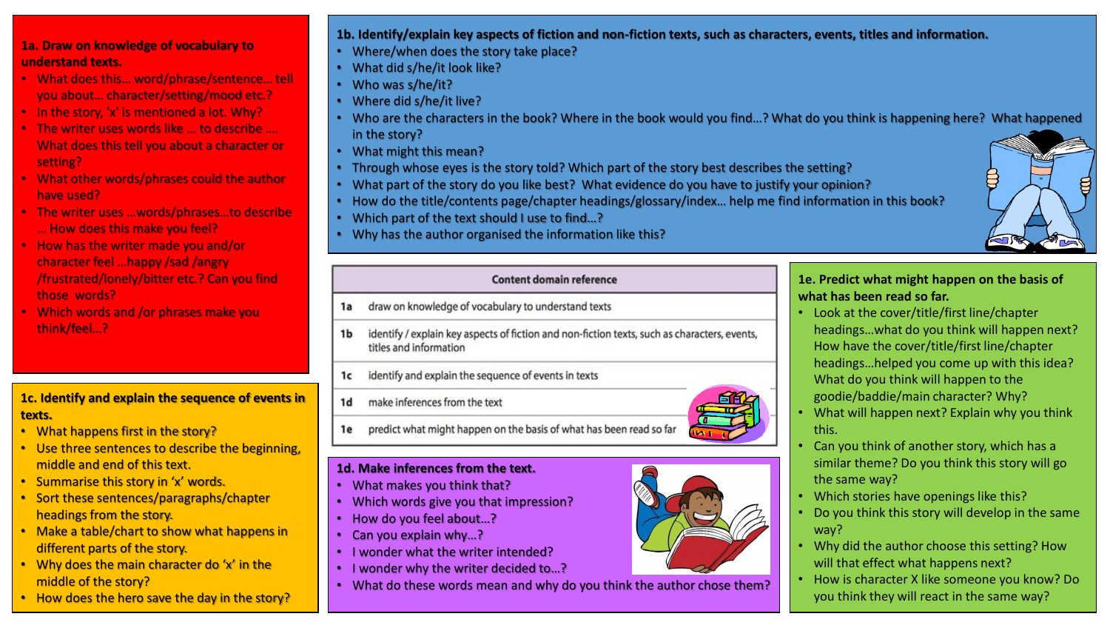### **1a. Draw on knowledge of vocabulary to understand texts.**

- What does this… word/phrase/sentence… tell you about… character/setting/mood etc.?
- In the story, 'x' is mentioned a lot. Why?
- The writer uses words like … to describe …. What does this tell you about a character or setting?
- What other words/phrases could the author have used?
- The writer uses …words/phrases…to describe … How does this make you feel?
- How has the writer made you and/or character feel …happy /sad /angry /frustrated/lonely/bitter etc.? Can you find those words?
- Which words and /or phrases make you think/feel…?

### **1c. Identify and explain the sequence of events in texts.**

- What happens first in the story?
- Use three sentences to describe the beginning, middle and end of this text.
- Summarise this story in 'x' words.
- Sort these sentences/paragraphs/chapter headings from the story.
- Make a table/chart to show what happens in different parts of the story.
- Why does the main character do 'x' in the middle of the story?
- How does the hero save the day in the story?

# **1b. Identify/explain key aspects of fiction and non-fiction texts, such as characters, events, titles and information.**

- Where/when does the story take place?
- What did s/he/it look like?
- Who was s/he/it?
- Where did s/he/it live?
- Who are the characters in the book? Where in the book would you find…? What do you think is happening here? What happened in the story?
- What might this mean?
- Through whose eyes is the story told? Which part of the story best describes the setting?
- What part of the story do you like best? What evidence do you have to justify your opinion?
- How do the title/contents page/chapter headings/glossary/index… help me find information in this book?
- Which part of the text should I use to find…?
- Why has the author organised the information like this?



- draw on knowledge of vocabulary to understand texts 1a
- identify / explain key aspects of fiction and non-fiction texts, such as characters, events,  $1<sub>b</sub>$ titles and information
- identify and explain the sequence of events in texts 1c
- make inferences from the text  $1<sub>d</sub>$

1e

**1d. Make inferences from the text.** • What makes you think that?

• I wonder what the writer intended? • I wonder why the writer decided to…?

• How do you feel about…? • Can you explain why…?

• Which words give you that impression?

predict what might happen on the basis of what has been read so far



- Look at the cover/title/first line/chapter headings…what do you think will happen next? How have the cover/title/first line/chapter headings…helped you come up with this idea? What do you think will happen to the goodie/baddie/main character? Why?
- What will happen next? Explain why you think this.
- Can you think of another story, which has a similar theme? Do you think this story will go the same way?
- Which stories have openings like this?
- Do you think this story will develop in the same way?
- Why did the author choose this setting? How will that effect what happens next?
- How is character X like someone you know? Do you think they will react in the same way?